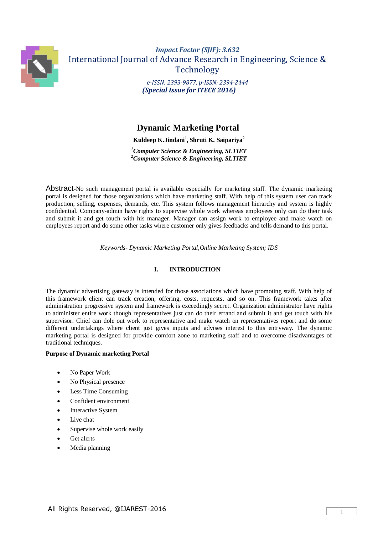

# *Impact Factor (SJIF): 3.632* International Journal of Advance Research in Engineering, Science & Technology *e-ISSN: 2393-9877, p-ISSN: 2394-2444 (Special Issue for ITECE 2016)*

 **Dynamic Marketing Portal**

**Kuldeep K.Jindani<sup>1</sup> , Shruti K. Saipariya<sup>2</sup>**

*<sup>1</sup>Computer Science & Engineering, SLTIET <sup>2</sup>Computer Science & Engineering, SLTIET*

Abstract-No such management portal is available especially for marketing staff. The dynamic marketing portal is designed for those organizations which have marketing staff. With help of this system user can track production, selling, expenses, demands, etc. This system follows management hierarchy and system is highly confidential. Company-admin have rights to supervise whole work whereas employees only can do their task and submit it and get touch with his manager. Manager can assign work to employee and make watch on employees report and do some other tasks where customer only gives feedbacks and tells demand to this portal.

*Keywords- Dynamic Marketing Portal,Online Marketing System; IDS*

# **I. INTRODUCTION**

The dynamic advertising gateway is intended for those associations which have promoting staff. With help of this framework client can track creation, offering, costs, requests, and so on. This framework takes after administration progressive system and framework is exceedingly secret. Organization administrator have rights to administer entire work though representatives just can do their errand and submit it and get touch with his supervisor. Chief can dole out work to representative and make watch on representatives report and do some different undertakings where client just gives inputs and advises interest to this entryway. The dynamic marketing portal is designed for provide comfort zone to marketing staff and to overcome disadvantages of traditional techniques.

# **Purpose of Dynamic marketing Portal**

- No Paper Work
- No Physical presence
- Less Time Consuming
- Confident environment
- Interactive System
- Live chat
- Supervise whole work easily
- Get alerts
- Media planning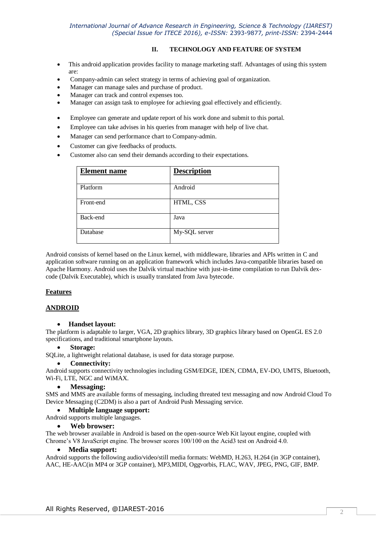# *International Journal of Advance Research in Engineering, Science & Technology (IJAREST) (Special Issue for ITECE 2016), e-ISSN:* 2393-9877*, print-ISSN:* 2394-2444

# **II. TECHNOLOGY AND FEATURE OF SYSTEM**

- This android application provides facility to manage marketing staff. Advantages of using this system are:
- Company-admin can select strategy in terms of achieving goal of organization.
- Manager can manage sales and purchase of product.
- Manager can track and control expenses too.
- Manager can assign task to employee for achieving goal effectively and efficiently.
- Employee can generate and update report of his work done and submit to this portal.
- Employee can take advises in his queries from manager with help of live chat.
- Manager can send performance chart to Company-admin.
- Customer can give feedbacks of products.
- Customer also can send their demands according to their expectations.

| <b>Element</b> name | <b>Description</b> |
|---------------------|--------------------|
| Platform            | Android            |
| Front-end           | HTML, CSS          |
| Back-end            | Java               |
| Database            | My-SQL server      |

Android consists of kernel based on the Linux kernel, with middleware, libraries and APIs written in C and application software running on an application framework which includes Java-compatible libraries based on Apache Harmony. Android uses the Dalvik virtual machine with just-in-time compilation to run Dalvik dexcode (Dalvik Executable), which is usually translated from Java bytecode.

# **Features**

# **ANDROID**

#### **Handset layout:**

The platform is adaptable to larger, VGA, 2D graphics library, 3D graphics library based on OpenGL ES 2.0 specifications, and traditional smartphone layouts.

#### **Storage:**

SQLite, a lightweight relational database, is used for data storage purpose.

#### **Connectivity:**

Android supports connectivity technologies including GSM/EDGE, IDEN, CDMA, EV-DO, UMTS, Bluetooth, Wi-Fi, LTE, NGC and WiMAX.

#### **Messaging:**

SMS and MMS are available forms of messaging, including threated text messaging and now Android Cloud To Device Messaging (C2DM) is also a part of Android Push Messaging service.

### **Multiple language support:**

Android supports multiple languages.

#### **Web browser:**

The web browser available in Android is based on the open-source Web Kit layout engine, coupled with Chrome's V8 JavaScript engine. The browser scores 100/100 on the Acid3 test on Android 4.0.

#### **Media support:**

Android supports the following audio/video/still media formats: WebMD, H.263, H.264 (in 3GP container), AAC, HE-AAC(in MP4 or 3GP container), MP3,MIDI, Oggvorbis, FLAC, WAV, JPEG, PNG, GIF, BMP.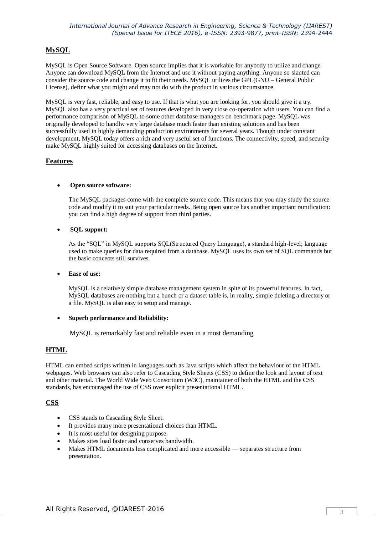# **MySQL**

MySQL is Open Source Software. Open source implies that it is workable for anybody to utilize and change. Anyone can download MySQL from the Internet and use it without paying anything. Anyone so slanted can consider the source code and change it to fit their needs. MySQL utilizes the GPL(GNU – General Public License), definr what you might and may not do with the product in various circumstance.

MySQL is very fast, reliable, and easy to use. If that is what you are looking for, you should give it a try. MySQL also has a very practical set of features developed in very close co-operation with users. You can find a performance comparison of MySQL to some other database managers on benchmark page. MySQL was originally developed to handlw very large database much faster than existing solutions and has been successfully used in highly demanding production environments for several years. Though under constant development, MySQL today offers a rich and very useful set of functions. The connectivity, speed, and security make MySQL highly suited for accessing databases on the Internet.

# **Features**

# **Open source software:**

The MySQL packages come with the complete source code. This means that you may study the source code and modify it to suit your particular needs. Being open source has another important ramification: you can find a high degree of support from third parties.

#### **SQL support:**

As the "SQL" in MySQL supports SQL(Structured Query Language), a standard high-level; language used to make queries for data required from a database. MySQL uses its own set of SQL commands but the basic conceots still survives.

#### **Ease of use:**

MySQL is a relatively simple database management system in spite of its powerful features. In fact, MySQL databases are nothing but a bunch or a dataset table is, in reality, simple deleting a directory or a file. MySQL is also easy to setup and manage.

#### **Superb performance and Reliability:**

MySQL is remarkably fast and reliable even in a most demanding

# **HTML**

HTML can embed scripts written in languages such as Java scripts which affect the behaviour of the HTML webpages. Web browsers can also refer to Cascading Style Sheets (CSS) to define the look and layout of text and other material. The World Wide Web Consortium (W3C), maintainer of both the HTML and the CSS standards, has encouraged the use of CSS over explicit presentational HTML.

# **CSS**

- CSS stands to Cascading Style Sheet.
- It provides many more presentational choices than HTML.
- It is most useful for designing purpose.
- Makes sites load faster and conserves bandwidth.
- Makes HTML documents less complicated and more accessible separates structure from presentation.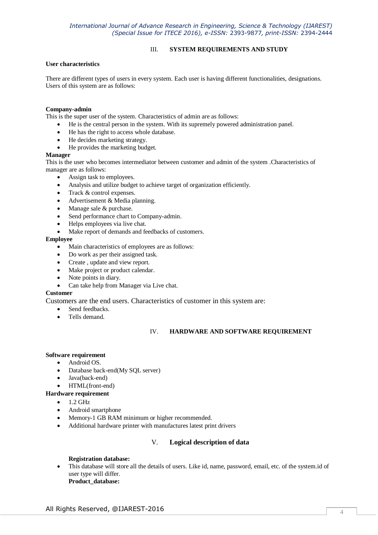# III. **SYSTEM REQUIREMENTS AND STUDY**

#### **User characteristics**

There are different types of users in every system. Each user is having different functionalities, designations. Users of this system are as follows:

## **Company-admin**

This is the super user of the system. Characteristics of admin are as follows:

- He is the central person in the system. With its supremely powered administration panel.
- He has the right to access whole database.
- He decides marketing strategy.
- He provides the marketing budget.

#### **Manager**

This is the user who becomes intermediator between customer and admin of the system .Characteristics of manager are as follows:

- Assign task to employees.
- Analysis and utilize budget to achieve target of organization efficiently.
- Track & control expenses.
- Advertisement & Media planning.
- Manage sale & purchase.
- Send performance chart to Company-admin.
- Helps employees via live chat.
- Make report of demands and feedbacks of customers.

#### **Employee**

- Main characteristics of employees are as follows:
- Do work as per their assigned task.
- Create, update and view report.
- Make project or product calendar.
- Note points in diary.
- Can take help from Manager via Live chat.

#### **Customer**

Customers are the end users. Characteristics of customer in this system are:

- Send feedbacks.
- Tells demand.

#### IV. **HARDWARE AND SOFTWARE REQUIREMENT**

#### **Software requirement**

- Android OS.
- Database back-end(My SQL server)
- Java(back-end)
- HTML(front-end)

**Hardware requirement** 

- $\bullet$  1.2 GHz
- Android smartphone
- Memory-1 GB RAM minimum or higher recommended.
- Additional hardware printer with manufactures latest print drivers

#### V. **Logical description of data**

#### **Registration database:**

 This database will store all the details of users. Like id, name, password, email, etc. of the system.id of user type will differ. **Product\_database:**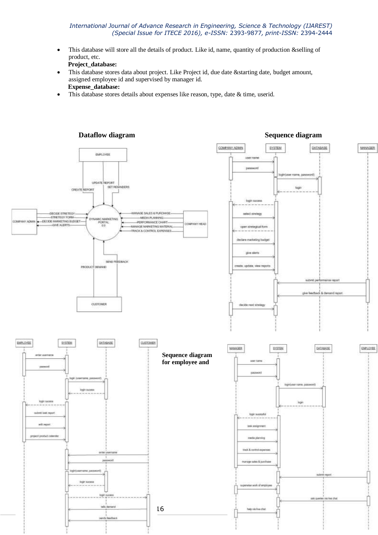#### *International Journal of Advance Research in Engineering, Science & Technology (IJAREST) (Special Issue for ITECE 2016), e-ISSN:* 2393-9877*, print-ISSN:* 2394-2444

- This database will store all the details of product. Like id, name, quantity of production &selling of product, etc.
	- **Project\_database:**
- This database stores data about project. Like Project id, due date &starting date, budget amount, assigned employee id and supervised by manager id. **Expense\_database:**
- This database stores details about expenses like reason, type, date & time, userid.